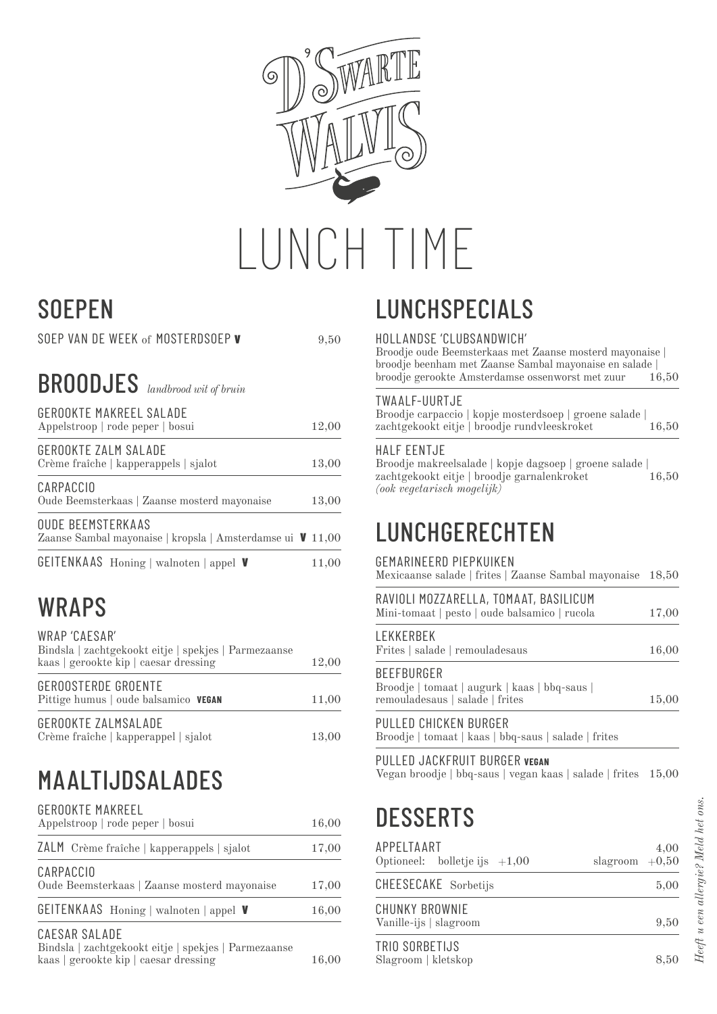

# **SOEPEN**

|  | SOEP VAN DE WEEK of MOSTERDSOEP V | 9.50 |
|--|-----------------------------------|------|

#### BROODJES *landbrood wit of bruin*

| <b>GEROOKTE MAKREEL SALADE</b><br>Appelstroop   rode peper   bosui                     | 12,00 |
|----------------------------------------------------------------------------------------|-------|
| GEROOKTE ZALM SALADE<br>Crème fraîche   kapperappels   sjalot                          | 13,00 |
| CARPACCIO<br>Oude Beemsterkaas   Zaanse mosterd mayonaise                              | 13,00 |
| <b>OUDE BEEMSTERKAAS</b><br>Zaanse Sambal mayonaise   kropsla   Amsterdamse ui ↓ 11,00 |       |
| <b>GEITENKAAS</b> Honing   walnoten   appel <b>V</b>                                   | 11,00 |

## WRAPS

WRAP 'CAESAR'

| Bindsla   zachtgekookt eitje   spekjes   Parmezaanse<br>kaas   gerookte kip   caesar dressing | 12,00 |
|-----------------------------------------------------------------------------------------------|-------|
| GEROOSTERDE GROENTE<br>Pittige humus   oude balsamico VEGAN                                   | 11,00 |
| GEROOKTE ZALMSALADE<br>Crème fraîche   kapperappel   sjalot                                   | 13,00 |

## MAALTIJDSALADES

| <b>GEROOKTE MAKREEL</b><br>Appelstroop   rode peper   bosui              | 16,00 |
|--------------------------------------------------------------------------|-------|
| ZALM Crème fraîche   kapperappels   sjalot                               | 17,00 |
| CARPACCIO<br>Oude Beemsterkaas   Zaanse mosterd mayonaise                | 17,00 |
| <b>GEITENKAAS</b> Honing   walnoten   appel <b>V</b>                     | 16,00 |
| CAESAR SALADE<br>$\mathbf{D}$ . It is the set of the set of $\mathbf{D}$ |       |

Bindsla | zachtgekookt eitje | spekjes | Parmezaanse kaas | gerookte kip | caesar dressing 16,00

# LUNCHSPECIALS

#### HOLLANDSE 'CLUBSANDWICH'

Broodje oude Beemsterkaas met Zaanse mosterd mayonaise | broodje beenham met Zaanse Sambal mayonaise en salade | broodje gerookte Amsterdamse ossenworst met zuur 16,50

#### TWAALF-UURTJE

| Broodje carpaccio   kopje mosterdsoep   groene salade |       |
|-------------------------------------------------------|-------|
| zachtgekookt eitje   broodje rundvleeskroket          | 16,50 |

#### HALF EENTJE

Broodje makreelsalade | kopje dagsoep | groene salade | zachtgekookt eitje | broodje garnalenkroket 16,50 *(ook vegetarisch mogelijk)*

### **LUNCHGERECHTEN**

#### GEMARINEERD PIEPKUIKEN

Mexicaanse salade | frites | Zaanse Sambal mayonaise 18,50

| RAVIOLI MOZZARELLA, TOMAAT, BASILICUM<br>Mini-tomaat   pesto   oude balsamico   rucola | 17,00 |
|----------------------------------------------------------------------------------------|-------|
|                                                                                        |       |

| Frites   salade   remouladesaus | 16,00 |
|---------------------------------|-------|
|---------------------------------|-------|

BEEFBURGER Broodje | tomaat | augurk | kaas | bbq-saus | remouladesaus | salade | frites 15,00

PULLED CHICKEN BURGER Broodje | tomaat | kaas | bbq-saus | salade | frites

PULLED JACKFRUIT BURGER **VEGAN** Vegan broodje | bbq-saus | vegan kaas | salade | frites 15,00

## **DESSERTS**

| APPELTAART<br>Optioneel: bolletje ijs $+1,00$ | slagroom $+0,50$ | 4,00 |
|-----------------------------------------------|------------------|------|
| CHEESECAKE Sorbetijs                          |                  | 5,00 |
| CHUNKY BROWNIE<br>Vanille-ijs   slagroom      |                  | 9,50 |
| TRIO SORBETIJS<br>Slagroom   kletskop         |                  | 8.50 |